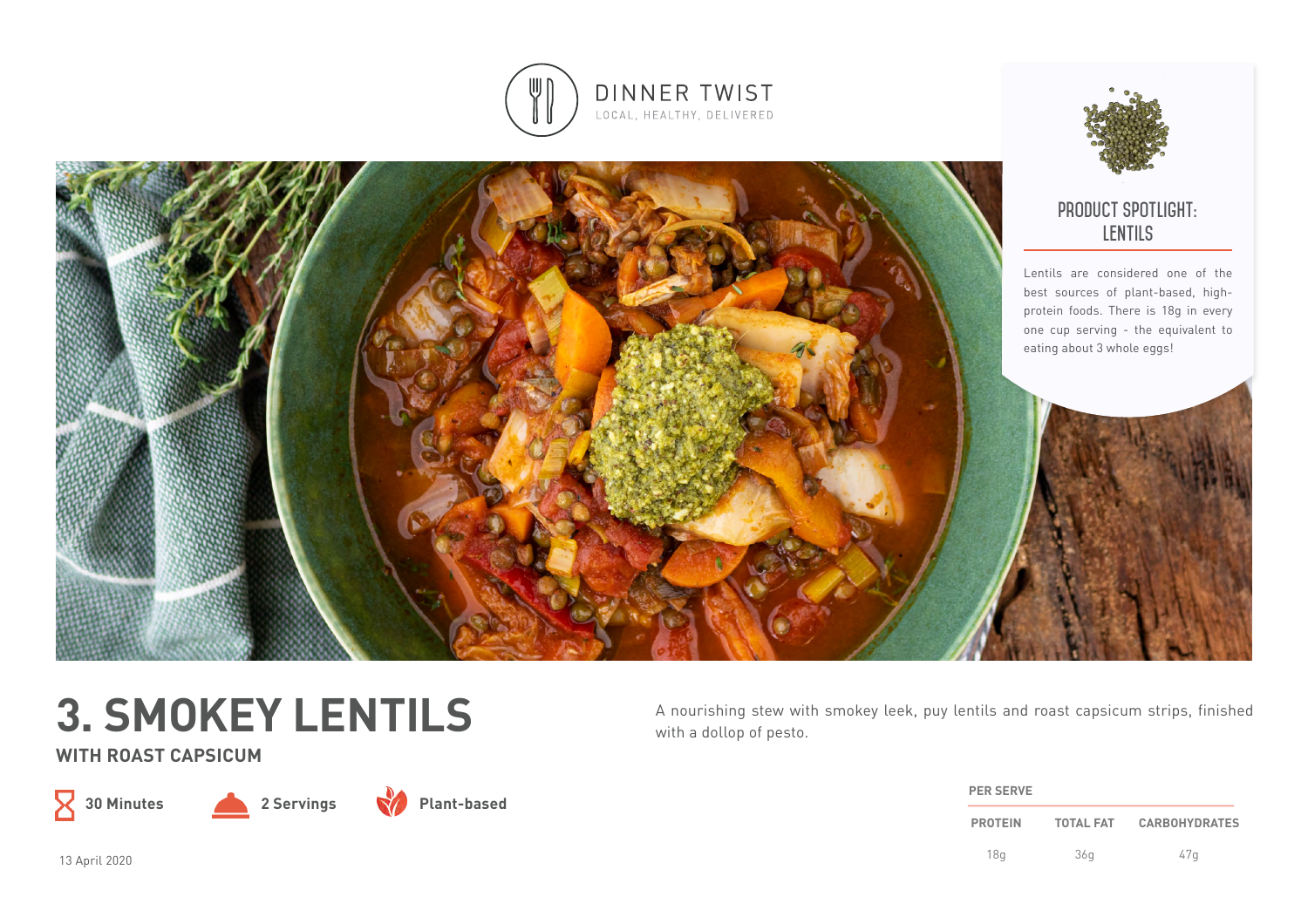



# **3. SMOKEY LENTILS**

**WITH ROAST CAPSICUM**







A nourishing stew with smokey leek, puy lentils and roast capsicum strips, finished with a dollop of pesto.

| <b>PER SERVE</b> |                  |                      |
|------------------|------------------|----------------------|
| <b>PROTEIN</b>   | <b>TOTAL FAT</b> | <b>CARBOHYDRATES</b> |
| 18 <sub>a</sub>  | 36q              | 47a                  |

13 April 2020